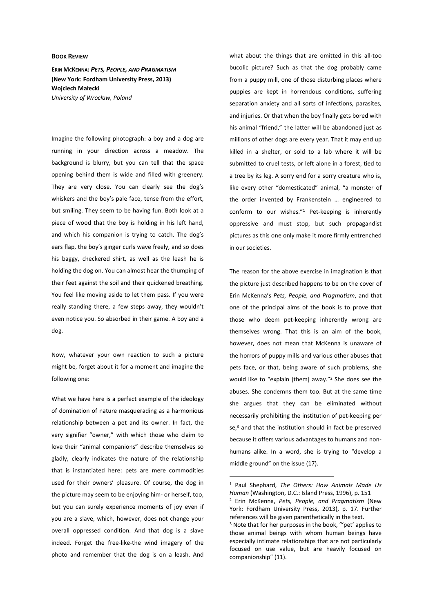## **BOOK REVIEW**

**ERIN MCKENNA:** *PETS, PEOPLE, AND PRAGMATISM*  **(New York: Fordham University Press, 2013) Wojciech Małecki** *University of Wrocław, Poland*

Imagine the following photograph: a boy and a dog are running in your direction across a meadow. The background is blurry, but you can tell that the space opening behind them is wide and filled with greenery. They are very close. You can clearly see the dog's whiskers and the boy's pale face, tense from the effort, but smiling. They seem to be having fun. Both look at a piece of wood that the boy is holding in his left hand, and which his companion is trying to catch. The dog's ears flap, the boy's ginger curls wave freely, and so does his baggy, checkered shirt, as well as the leash he is holding the dog on. You can almost hear the thumping of their feet against the soil and their quickened breathing. You feel like moving aside to let them pass. If you were really standing there, a few steps away, they wouldn't even notice you. So absorbed in their game. A boy and a dog.

Now, whatever your own reaction to such a picture might be, forget about it for a moment and imagine the following one:

What we have here is a perfect example of the ideology of domination of nature masquerading as a harmonious relationship between a pet and its owner. In fact, the very signifier "owner," with which those who claim to love their "animal companions" describe themselves so gladly, clearly indicates the nature of the relationship that is instantiated here: pets are mere commodities used for their owners' pleasure. Of course, the dog in the picture may seem to be enjoying him- or herself, too, but you can surely experience moments of joy even if you are a slave, which, however, does not change your overall oppressed condition. And that dog is a slave indeed. Forget the free-like-the wind imagery of the photo and remember that the dog is on a leash. And

what about the things that are omitted in this all-too bucolic picture? Such as that the dog probably came from a puppy mill, one of those disturbing places where puppies are kept in horrendous conditions, suffering separation anxiety and all sorts of infections, parasites, and injuries. Or that when the boy finally gets bored with his animal "friend," the latter will be abandoned just as millions of other dogs are every year. That it may end up killed in a shelter, or sold to a lab where it will be submitted to cruel tests, or left alone in a forest, tied to a tree by its leg. A sorry end for a sorry creature who is, like every other "domesticated" animal, "a monster of the order invented by Frankenstein … engineered to conform to our wishes."<sup>1</sup> Pet-keeping is inherently oppressive and must stop, but such propagandist pictures as this one only make it more firmly entrenched in our societies.

The reason for the above exercise in imagination is that the picture just described happens to be on the cover of Erin McKenna's *Pets, People, and Pragmatism*, and that one of the principal aims of the book is to prove that those who deem pet-keeping inherently wrong are themselves wrong. That this is an aim of the book, however, does not mean that McKenna is unaware of the horrors of puppy mills and various other abuses that pets face, or that, being aware of such problems, she would like to "explain [them] away."<sup>2</sup> She does see the abuses. She condemns them too. But at the same time she argues that they can be eliminated without necessarily prohibiting the institution of pet-keeping per se,<sup>3</sup> and that the institution should in fact be preserved because it offers various advantages to humans and nonhumans alike. In a word, she is trying to "develop a middle ground" on the issue (17).

 $\overline{a}$ 

<sup>1</sup> Paul Shephard, *The Others: How Animals Made Us Human* (Washington, D.C.: Island Press, 1996), p. 151

<sup>2</sup> Erin McKenna, *Pets, People, and Pragmatism* (New York: Fordham University Press, 2013), p. 17. Further references will be given parenthetically in the text.

<sup>&</sup>lt;sup>3</sup> Note that for her purposes in the book, "'pet' applies to those animal beings with whom human beings have especially intimate relationships that are not particularly focused on use value, but are heavily focused on companionship" (11).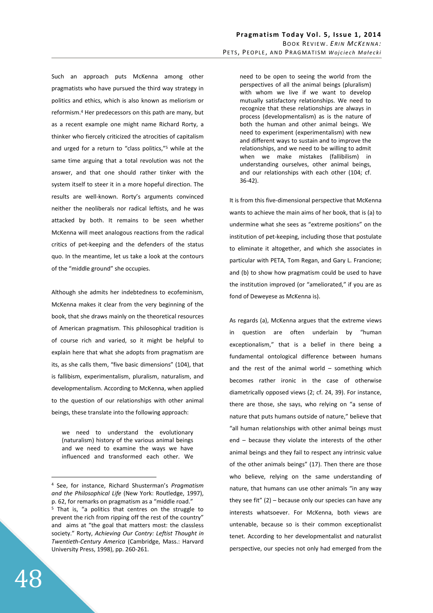Such an approach puts McKenna among other pragmatists who have pursued the third way strategy in politics and ethics, which is also known as meliorism or reformism.<sup>4</sup> Her predecessors on this path are many, but as a recent example one might name Richard Rorty, a thinker who fiercely criticized the atrocities of capitalism and urged for a return to "class politics,"<sup>5</sup> while at the same time arguing that a total revolution was not the answer, and that one should rather tinker with the system itself to steer it in a more hopeful direction. The results are well-known. Rorty's arguments convinced neither the neoliberals nor radical leftists, and he was attacked by both. It remains to be seen whether McKenna will meet analogous reactions from the radical critics of pet-keeping and the defenders of the status quo. In the meantime, let us take a look at the contours of the "middle ground" she occupies.

Although she admits her indebtedness to ecofeminism, McKenna makes it clear from the very beginning of the book, that she draws mainly on the theoretical resources of American pragmatism. This philosophical tradition is of course rich and varied, so it might be helpful to explain here that what she adopts from pragmatism are its, as she calls them, "five basic dimensions" (104), that is fallibism, experimentalism, pluralism, naturalism, and developmentalism. According to McKenna, when applied to the question of our relationships with other animal beings, these translate into the following approach:

we need to understand the evolutionary (naturalism) history of the various animal beings and we need to examine the ways we have influenced and transformed each other. We need to be open to seeing the world from the perspectives of all the animal beings (pluralism) with whom we live if we want to develop mutually satisfactory relationships. We need to recognize that these relationships are always in process (developmentalism) as is the nature of both the human and other animal beings. We need to experiment (experimentalism) with new and different ways to sustain and to improve the relationships, and we need to be willing to admit when we make mistakes (fallibilism) in understanding ourselves, other animal beings, and our relationships with each other (104; cf. 36-42).

It is from this five-dimensional perspective that McKenna wants to achieve the main aims of her book, that is (a) to undermine what she sees as "extreme positions" on the institution of pet-keeping, including those that postulate to eliminate it altogether, and which she associates in particular with PETA, Tom Regan, and Gary L. Francione; and (b) to show how pragmatism could be used to have the institution improved (or "ameliorated," if you are as fond of Deweyese as McKenna is).

As regards (a), McKenna argues that the extreme views in question are often underlain by "human exceptionalism," that is a belief in there being a fundamental ontological difference between humans and the rest of the animal world  $-$  something which becomes rather ironic in the case of otherwise diametrically opposed views (2; cf. 24, 39). For instance, there are those, she says, who relying on "a sense of nature that puts humans outside of nature," believe that "all human relationships with other animal beings must end – because they violate the interests of the other animal beings and they fail to respect any intrinsic value of the other animals beings" (17). Then there are those who believe, relying on the same understanding of nature, that humans can use other animals "in any way they see fit" (2) – because only our species can have any interests whatsoever. For McKenna, both views are untenable, because so is their common exceptionalist tenet. According to her developmentalist and naturalist perspective, our species not only had emerged from the

 $\overline{a}$ 

<sup>4</sup> See, for instance, Richard Shusterman's *Pragmatism and the Philosophical Life* (New York: Routledge, 1997), p. 62, for remarks on pragmatism as a "middle road." <sup>5</sup> That is, "a politics that centres on the struggle to prevent the rich from ripping off the rest of the country" and aims at "the goal that matters most: the classless society." Rorty, *Achieving Our Contry: Leftist Thought in Twentieth-Century America* (Cambridge, Mass.: Harvard University Press, 1998), pp. 260-261.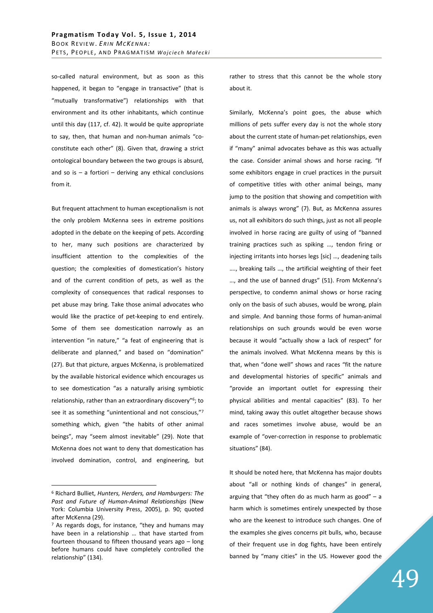so-called natural environment, but as soon as this happened, it began to "engage in transactive" (that is "mutually transformative") relationships with that environment and its other inhabitants, which continue until this day (117, cf. 42). It would be quite appropriate to say, then, that human and non-human animals "coconstitute each other" (8). Given that, drawing a strict ontological boundary between the two groups is absurd, and so is  $-$  a fortiori  $-$  deriving any ethical conclusions from it.

But frequent attachment to human exceptionalism is not the only problem McKenna sees in extreme positions adopted in the debate on the keeping of pets. According to her, many such positions are characterized by insufficient attention to the complexities of the question; the complexities of domestication's history and of the current condition of pets, as well as the complexity of consequences that radical responses to pet abuse may bring. Take those animal advocates who would like the practice of pet-keeping to end entirely. Some of them see domestication narrowly as an intervention "in nature," "a feat of engineering that is deliberate and planned," and based on "domination" (27). But that picture, argues McKenna, is problematized by the available historical evidence which encourages us to see domestication "as a naturally arising symbiotic relationship, rather than an extraordinary discovery"<sup>6</sup>; to see it as something "unintentional and not conscious,"<sup>7</sup> something which, given "the habits of other animal beings", may "seem almost inevitable" (29). Note that McKenna does not want to deny that domestication has involved domination, control, and engineering, but

 $\overline{a}$ 

rather to stress that this cannot be the whole story about it.

Similarly, McKenna's point goes, the abuse which millions of pets suffer every day is not the whole story about the current state of human-pet relationships, even if "many" animal advocates behave as this was actually the case. Consider animal shows and horse racing. "If some exhibitors engage in cruel practices in the pursuit of competitive titles with other animal beings, many jump to the position that showing and competition with animals is always wrong" (7). But, as McKenna assures us, not all exhibitors do such things, just as not all people involved in horse racing are guilty of using of "banned training practices such as spiking …, tendon firing or injecting irritants into horses legs [sic] …, deadening tails …., breaking tails …, the artificial weighting of their feet …, and the use of banned drugs" (51). From McKenna's perspective, to condemn animal shows or horse racing only on the basis of such abuses, would be wrong, plain and simple. And banning those forms of human-animal relationships on such grounds would be even worse because it would "actually show a lack of respect" for the animals involved. What McKenna means by this is that, when "done well" shows and races "fit the nature and developmental histories of specific" animals and "provide an important outlet for expressing their physical abilities and mental capacities" (83). To her mind, taking away this outlet altogether because shows and races sometimes involve abuse, would be an example of "over-correction in response to problematic situations" (84).

It should be noted here, that McKenna has major doubts about "all or nothing kinds of changes" in general, arguing that "they often do as much harm as good"  $-$  a harm which is sometimes entirely unexpected by those who are the keenest to introduce such changes. One of the examples she gives concerns pit bulls, who, because of their frequent use in dog fights, have been entirely banned by "many cities" in the US. However good the

<sup>6</sup> Richard Bulliet, *Hunters, Herders, and Hamburgers: The Past and Future of Human-Animal Relationships* (New York: Columbia University Press, 2005), p. 90; quoted after McKenna (29).

<sup>&</sup>lt;sup>7</sup> As regards dogs, for instance, "they and humans may have been in a relationship … that have started from fourteen thousand to fifteen thousand years ago – long before humans could have completely controlled the relationship" (134).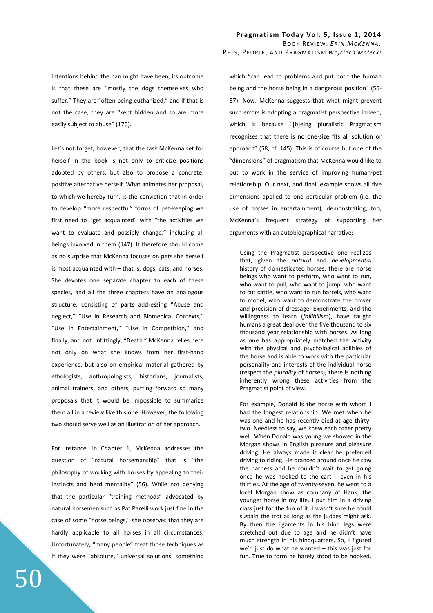intentions behind the ban might have been, its outcome is that these are "mostly the dogs themselves who suffer." They are "often being euthanized," and if that is not the case, they are "kept hidden and so are more easily subject to abuse" (170).

Let's not forget, however, that the task McKenna set for herself in the book is not only to criticize positions adopted by others, but also to propose a concrete, positive alternative herself. What animates her proposal, to which we hereby turn, is the conviction that in order to develop "more respectful" forms of pet-keeping we first need to "get acquainted" with "the activities we want to evaluate and possibly change," including all beings involved in them (147). It therefore should come as no surprise that McKenna focuses on pets she herself is most acquainted with – that is, dogs, cats, and horses. She devotes one separate chapter to each of these species, and all the three chapters have an analogous structure, consisting of parts addressing "Abuse and neglect," "Use In Research and Biomedical Contexts," "Use In Entertainment," "Use in Competition," and finally, and not unfittingly, "Death*.*" McKenna relies here not only on what she knows from her first-hand experience, but also on empirical material gathered by ethologists, anthropologists, historians, journalists, animal trainers, and others, putting forward so many proposals that it would be impossible to summarize them all in a review like this one. However, the following two should serve well as an illustration of her approach.

For instance, in Chapter 1, McKenna addresses the question of "natural horsemanship" that is "the philosophy of working with horses by appealing to their instincts and herd mentality" (56). While not denying that the particular "training methods" advocated by natural horsemen such as Pat Parelli work just fine in the case of some "horse beings," she observes that they are hardly applicable to all horses in all circumstances. Unfortunately, "many people" treat those techniques as if they were "absolute," universal solutions, something which "can lead to problems and put both the human being and the horse being in a dangerous position" (56- 57). Now, McKenna suggests that what might prevent such errors is adopting a pragmatist perspective indeed, which is because "[b]eing pluralistic Pragmatism recognizes that there is no one-size fits all solution or approach" (58, cf. 145). This is of course but one of the "dimensions" of pragmatism that McKenna would like to put to work in the service of improving human-pet relationship. Our next, and final, example shows all five dimensions applied to one particular problem (i.e. the use of horses in entertainment), demonstrating, too, McKenna's frequent strategy of supporting her arguments with an autobiographical narrative:

Using the Pragmatist perspective one realizes that, given the *natural* and *developmental* history of domesticated horses, there are horse beings who want to perform, who want to run, who want to pull, who want to jump, who want to cut cattle, who want to run barrels, who want to model, who want to demonstrate the power and precision of dressage. Experiments, and the willingness to learn (*fallibilism*), have taught humans a great deal over the five thousand to six thousand year relationship with horses. As long as one has appropriately matched the activity with the physical and psychological abilities of the horse and is able to work with the particular personality and interests of the individual horse (respect the *plurality* of horses), there is nothing inherently wrong these activities from the Pragmatist point of view.

For example, Donald is the horse with whom I had the longest relationship. We met when he was one and he has recently died at age thirtytwo. Needless to say, we knew each other pretty well. When Donald was young we showed in the Morgan shows in English pleasure and pleasure driving. He always made it clear he preferred driving to riding. He pranced around once he saw the harness and he couldn't wait to get going once he was hooked to the cart – even in his thirties. At the age of twenty-seven, he went to a local Morgan show as company of Hank, the younger horse in my life. I put him in a driving class just for the fun of it. I wasn't sure he could sustain the trot as long as the judges might ask. By then the ligaments in his hind legs were stretched out due to age and he didn't have much strength in his hindquarters. So, I figured we'd just do what he wanted – this was just for fun. True to form he barely stood to be hooked.

50